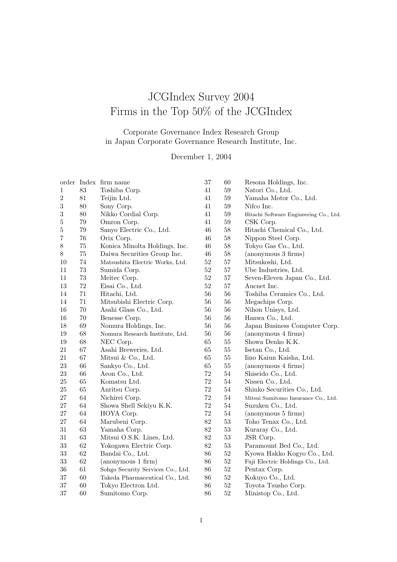## JCGIndex Survey 2004 Firms in the Top 50% of the JCGIndex

## Corporate Governance Index Research Group in Japan Corporate Governance Research Institute, Inc.

## December 1, 2004

|                |        | order Index firm name             | 37     | 60     | Resona Holdings, Inc.                  |
|----------------|--------|-----------------------------------|--------|--------|----------------------------------------|
| 1              | 83     | Toshiba Corp.                     | 41     | 59     | Natori Co., Ltd.                       |
| $\overline{2}$ | 81     | Teijin Ltd.                       | 41     | 59     | Yamaha Motor Co., Ltd.                 |
| 3              | $80\,$ | Sony Corp.                        | 41     | $59\,$ | Nifco Inc.                             |
| 3              | $80\,$ | Nikko Cordial Corp.               | 41     | $59\,$ | Hitachi Software Engineering Co., Ltd. |
| 5              | 79     | Omron Corp.                       | 41     | $59\,$ | CSK Corp.                              |
| 5              | 79     | Sanyo Electric Co., Ltd.          | 46     | $58\,$ | Hitachi Chemical Co., Ltd.             |
| 7              | 76     | Orix Corp.                        | 46     | 58     | Nippon Steel Corp.                     |
| 8              | $75\,$ | Konica Minolta Holdings, Inc.     | $46\,$ | 58     | Tokyo Gas Co., Ltd.                    |
| 8              | $75\,$ | Daiwa Securities Group Inc.       | $46\,$ | 58     | (anonymous 3 firms)                    |
| 10             | $74\,$ | Matsushita Electric Works, Ltd.   | $52\,$ | $57\,$ | Mitsukoshi, Ltd.                       |
| 11             | $73\,$ | Sumida Corp.                      | $52\,$ | 57     | Ube Industries, Ltd.                   |
| 11             | $73\,$ | Meitec Corp.                      | $52\,$ | 57     | Seven-Eleven Japan Co., Ltd.           |
| 13             | $72\,$ | Eisai Co., Ltd.                   | $52\,$ | 57     | Aucnet Inc.                            |
| 14             | 71     | Hitachi, Ltd.                     | 56     | 56     | Toshiba Ceramics Co., Ltd.             |
| 14             | $71\,$ | Mitsubishi Electric Corp.         | 56     | 56     | Megachips Corp.                        |
| 16             | 70     | Asahi Glass Co., Ltd.             | 56     | 56     | Nihon Unisys, Ltd.                     |
| 16             | 70     | Benesse Corp.                     | 56     | 56     | Hanwa Co., Ltd.                        |
| 18             | 69     | Nomura Holdings, Inc.             | 56     | 56     | Japan Business Computer Corp.          |
| 19             | $68\,$ | Nomura Research Institute, Ltd.   | $56\,$ | 56     | (anonymous 4 firms)                    |
| 19             | 68     | NEC Corp.                         | 65     | $55\,$ | Showa Denko K.K.                       |
| 21             | 67     | Asahi Breweries, Ltd.             | 65     | 55     | Isetan Co., Ltd.                       |
| 21             | 67     | Mitsui & Co., Ltd.                | 65     | 55     | Iino Kaiun Kaisha, Ltd.                |
| 23             | 66     | Sankyo Co., Ltd.                  | 65     | 55     | (anonymous 4 firms)                    |
| 23             | 66     | Aeon Co., Ltd.                    | $72\,$ | $54\,$ | Shiseido Co., Ltd.                     |
| 25             | $65\,$ | Komatsu Ltd.                      | $72\,$ | $54\,$ | Nissen Co., Ltd.                       |
| 25             | $65\,$ | Anritsu Corp.                     | 72     | 54     | Shinko Securities Co., Ltd.            |
| 27             | 64     | Nichirei Corp.                    | 72     | $54\,$ | Mitsui Sumitomo Insurance Co., Ltd.    |
| 27             | 64     | Showa Shell Sekiyu K.K.           | $72\,$ | 54     | Suzuken Co., Ltd.                      |
| 27             | 64     | HOYA Corp.                        | 72     | 54     | (anonymous 5 firms)                    |
| 27             | 64     | Marubeni Corp.                    | 82     | 53     | Toho Tenax Co., Ltd.                   |
| 31             | $63\,$ | Yamaha Corp.                      | $82\,$ | $53\,$ | Kuraray Co., Ltd.                      |
| $31\,$         | 63     | Mitsui O.S.K. Lines, Ltd.         | $82\,$ | $53\,$ | JSR Corp.                              |
| 33             | 62     | Yokogawa Electric Corp.           | 82     | $53\,$ | Paramount Bed Co., Ltd.                |
| 33             | 62     | Bandai Co., Ltd.                  | 86     | $52\,$ | Kyowa Hakko Kogyo Co., Ltd.            |
| 33             | 62     | (anonymous 1 firm)                | 86     | $52\,$ | Fuji Electric Holdings Co., Ltd.       |
| 36             | 61     | Sohgo Security Services Co., Ltd. | $86\,$ | $52\,$ | Pentax Corp.                           |
| 37             | $60\,$ | Takeda Pharmaceutical Co., Ltd.   | $86\,$ | $52\,$ | Kokuyo Co., Ltd.                       |
| 37             | $60\,$ | Tokyo Electron Ltd.               | $86\,$ | $52\,$ | Toyota Tsusho Corp.                    |
| 37             | 60     | Sumitomo Corp.                    | 86     | 52     | Ministop Co., Ltd.                     |